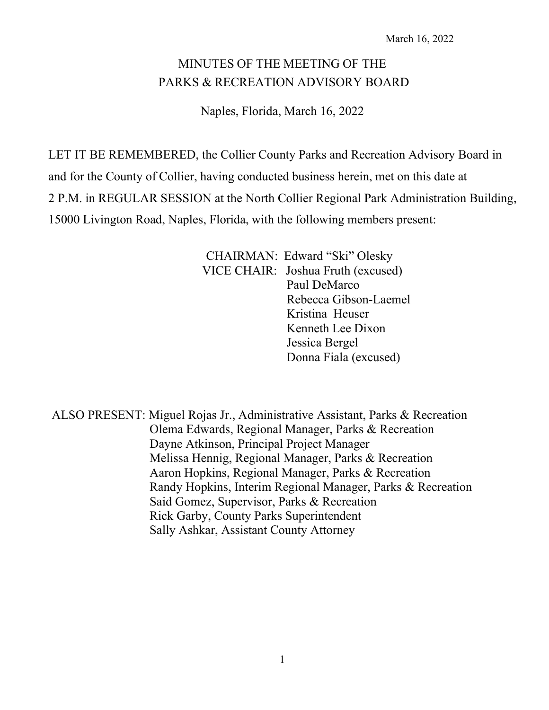# MINUTES OF THE MEETING OF THE PARKS & RECREATION ADVISORY BOARD

Naples, Florida, March 16, 2022

LET IT BE REMEMBERED, the Collier County Parks and Recreation Advisory Board in and for the County of Collier, having conducted business herein, met on this date at 2 P.M. in REGULAR SESSION at the North Collier Regional Park Administration Building, 15000 Livington Road, Naples, Florida, with the following members present:

> CHAIRMAN: Edward "Ski" Olesky VICE CHAIR: Joshua Fruth (excused) Paul DeMarco Rebecca Gibson-Laemel Kristina Heuser Kenneth Lee Dixon Jessica Bergel Donna Fiala (excused)

ALSO PRESENT: Miguel Rojas Jr., Administrative Assistant, Parks & Recreation Olema Edwards, Regional Manager, Parks & Recreation Dayne Atkinson, Principal Project Manager Melissa Hennig, Regional Manager, Parks & Recreation Aaron Hopkins, Regional Manager, Parks & Recreation Randy Hopkins, Interim Regional Manager, Parks & Recreation Said Gomez, Supervisor, Parks & Recreation Rick Garby, County Parks Superintendent Sally Ashkar, Assistant County Attorney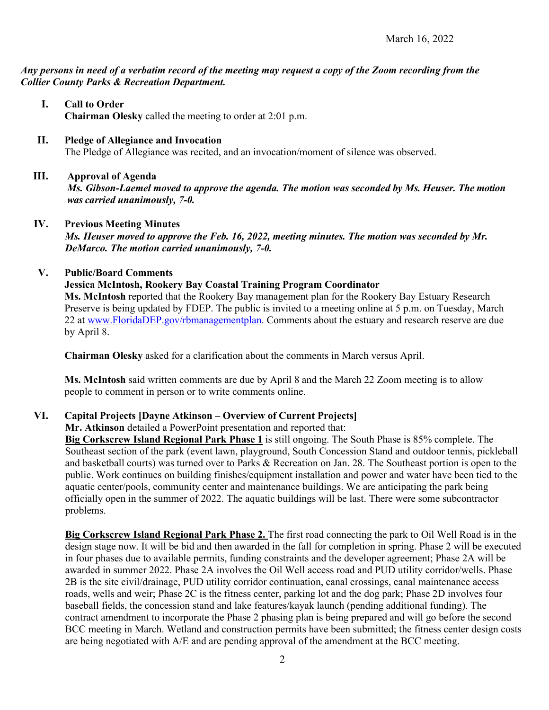*Any persons in need of a verbatim record of the meeting may request a copy of the Zoom recording from the Collier County Parks & Recreation Department.*

- **I. Call to Order Chairman Olesky** called the meeting to order at 2:01 p.m.
- **II. Pledge of Allegiance and Invocation**  The Pledge of Allegiance was recited, and an invocation/moment of silence was observed.
- **III. Approval of Agenda** *Ms. Gibson-Laemel moved to approve the agenda. The motion was seconded by Ms. Heuser. The motion was carried unanimously, 7-0.*
- **IV. Previous Meeting Minutes**

*Ms. Heuser moved to approve the Feb. 16, 2022, meeting minutes. The motion was seconded by Mr. DeMarco. The motion carried unanimously, 7-0.* 

## **V. Public/Board Comments**

**Jessica McIntosh, Rookery Bay Coastal Training Program Coordinator** 

**Ms. McIntosh** reported that the Rookery Bay management plan for the Rookery Bay Estuary Research Preserve is being updated by FDEP. The public is invited to a meeting online at 5 p.m. on Tuesday, March 22 at [www.FloridaDEP.gov/rbmanagementplan.](http://www.floridadep.gov/rbmanagementplan) Comments about the estuary and research reserve are due by April 8.

**Chairman Olesky** asked for a clarification about the comments in March versus April.

**Ms. McIntosh** said written comments are due by April 8 and the March 22 Zoom meeting is to allow people to comment in person or to write comments online.

# **VI. Capital Projects [Dayne Atkinson – Overview of Current Projects]**

**Mr. Atkinson** detailed a PowerPoint presentation and reported that:

**Big Corkscrew Island Regional Park Phase 1** is still ongoing. The South Phase is 85% complete. The Southeast section of the park (event lawn, playground, South Concession Stand and outdoor tennis, pickleball and basketball courts) was turned over to Parks & Recreation on Jan. 28. The Southeast portion is open to the public. Work continues on building finishes/equipment installation and power and water have been tied to the aquatic center/pools, community center and maintenance buildings. We are anticipating the park being officially open in the summer of 2022. The aquatic buildings will be last. There were some subcontractor problems.

**Big Corkscrew Island Regional Park Phase 2.** The first road connecting the park to Oil Well Road is in the design stage now. It will be bid and then awarded in the fall for completion in spring. Phase 2 will be executed in four phases due to available permits, funding constraints and the developer agreement; Phase 2A will be awarded in summer 2022. Phase 2A involves the Oil Well access road and PUD utility corridor/wells. Phase 2B is the site civil/drainage, PUD utility corridor continuation, canal crossings, canal maintenance access roads, wells and weir; Phase 2C is the fitness center, parking lot and the dog park; Phase 2D involves four baseball fields, the concession stand and lake features/kayak launch (pending additional funding). The contract amendment to incorporate the Phase 2 phasing plan is being prepared and will go before the second BCC meeting in March. Wetland and construction permits have been submitted; the fitness center design costs are being negotiated with A/E and are pending approval of the amendment at the BCC meeting.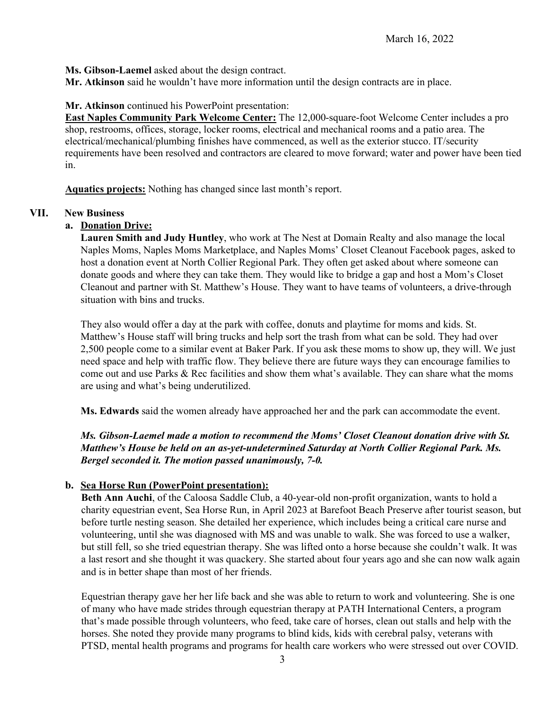**Ms. Gibson-Laemel** asked about the design contract.

**Mr. Atkinson** said he wouldn't have more information until the design contracts are in place.

## **Mr. Atkinson** continued his PowerPoint presentation:

**East Naples Community Park Welcome Center:** The 12,000-square-foot Welcome Center includes a pro shop, restrooms, offices, storage, locker rooms, electrical and mechanical rooms and a patio area. The electrical/mechanical/plumbing finishes have commenced, as well as the exterior stucco. IT/security requirements have been resolved and contractors are cleared to move forward; water and power have been tied in.

**Aquatics projects:** Nothing has changed since last month's report.

## **VII. New Business**

## **a. Donation Drive:**

**Lauren Smith and Judy Huntley**, who work at The Nest at Domain Realty and also manage the local Naples Moms, Naples Moms Marketplace, and Naples Moms' Closet Cleanout Facebook pages, asked to host a donation event at North Collier Regional Park. They often get asked about where someone can donate goods and where they can take them. They would like to bridge a gap and host a Mom's Closet Cleanout and partner with St. Matthew's House. They want to have teams of volunteers, a drive-through situation with bins and trucks.

They also would offer a day at the park with coffee, donuts and playtime for moms and kids. St. Matthew's House staff will bring trucks and help sort the trash from what can be sold. They had over 2,500 people come to a similar event at Baker Park. If you ask these moms to show up, they will. We just need space and help with traffic flow. They believe there are future ways they can encourage families to come out and use Parks & Rec facilities and show them what's available. They can share what the moms are using and what's being underutilized.

**Ms. Edwards** said the women already have approached her and the park can accommodate the event.

*Ms. Gibson-Laemel made a motion to recommend the Moms' Closet Cleanout donation drive with St. Matthew's House be held on an as-yet-undetermined Saturday at North Collier Regional Park. Ms. Bergel seconded it. The motion passed unanimously, 7-0.* 

# **b. Sea Horse Run (PowerPoint presentation):**

**Beth Ann Auchi**, of the Caloosa Saddle Club, a 40-year-old non-profit organization, wants to hold a charity equestrian event, Sea Horse Run, in April 2023 at Barefoot Beach Preserve after tourist season, but before turtle nesting season. She detailed her experience, which includes being a critical care nurse and volunteering, until she was diagnosed with MS and was unable to walk. She was forced to use a walker, but still fell, so she tried equestrian therapy. She was lifted onto a horse because she couldn't walk. It was a last resort and she thought it was quackery. She started about four years ago and she can now walk again and is in better shape than most of her friends.

Equestrian therapy gave her her life back and she was able to return to work and volunteering. She is one of many who have made strides through equestrian therapy at PATH International Centers, a program that's made possible through volunteers, who feed, take care of horses, clean out stalls and help with the horses. She noted they provide many programs to blind kids, kids with cerebral palsy, veterans with PTSD, mental health programs and programs for health care workers who were stressed out over COVID.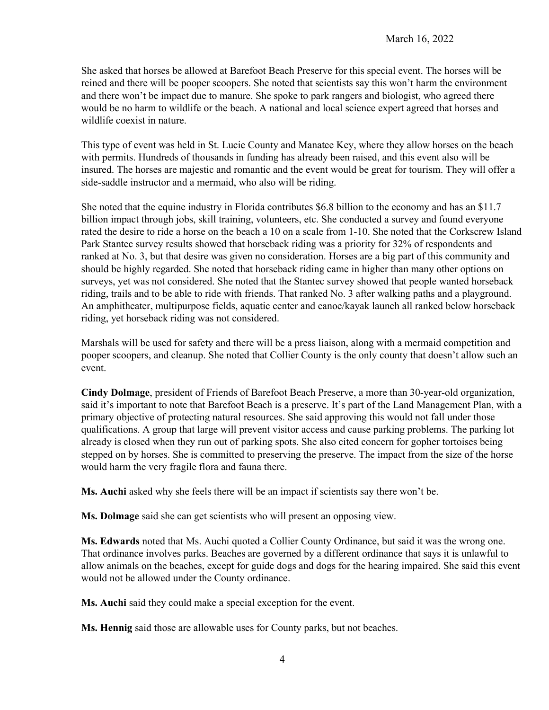She asked that horses be allowed at Barefoot Beach Preserve for this special event. The horses will be reined and there will be pooper scoopers. She noted that scientists say this won't harm the environment and there won't be impact due to manure. She spoke to park rangers and biologist, who agreed there would be no harm to wildlife or the beach. A national and local science expert agreed that horses and wildlife coexist in nature.

This type of event was held in St. Lucie County and Manatee Key, where they allow horses on the beach with permits. Hundreds of thousands in funding has already been raised, and this event also will be insured. The horses are majestic and romantic and the event would be great for tourism. They will offer a side-saddle instructor and a mermaid, who also will be riding.

She noted that the equine industry in Florida contributes \$6.8 billion to the economy and has an \$11.7 billion impact through jobs, skill training, volunteers, etc. She conducted a survey and found everyone rated the desire to ride a horse on the beach a 10 on a scale from 1-10. She noted that the Corkscrew Island Park Stantec survey results showed that horseback riding was a priority for 32% of respondents and ranked at No. 3, but that desire was given no consideration. Horses are a big part of this community and should be highly regarded. She noted that horseback riding came in higher than many other options on surveys, yet was not considered. She noted that the Stantec survey showed that people wanted horseback riding, trails and to be able to ride with friends. That ranked No. 3 after walking paths and a playground. An amphitheater, multipurpose fields, aquatic center and canoe/kayak launch all ranked below horseback riding, yet horseback riding was not considered.

Marshals will be used for safety and there will be a press liaison, along with a mermaid competition and pooper scoopers, and cleanup. She noted that Collier County is the only county that doesn't allow such an event.

**Cindy Dolmage**, president of Friends of Barefoot Beach Preserve, a more than 30-year-old organization, said it's important to note that Barefoot Beach is a preserve. It's part of the Land Management Plan, with a primary objective of protecting natural resources. She said approving this would not fall under those qualifications. A group that large will prevent visitor access and cause parking problems. The parking lot already is closed when they run out of parking spots. She also cited concern for gopher tortoises being stepped on by horses. She is committed to preserving the preserve. The impact from the size of the horse would harm the very fragile flora and fauna there.

**Ms. Auchi** asked why she feels there will be an impact if scientists say there won't be.

**Ms. Dolmage** said she can get scientists who will present an opposing view.

**Ms. Edwards** noted that Ms. Auchi quoted a Collier County Ordinance, but said it was the wrong one. That ordinance involves parks. Beaches are governed by a different ordinance that says it is unlawful to allow animals on the beaches, except for guide dogs and dogs for the hearing impaired. She said this event would not be allowed under the County ordinance.

**Ms. Auchi** said they could make a special exception for the event.

**Ms. Hennig** said those are allowable uses for County parks, but not beaches.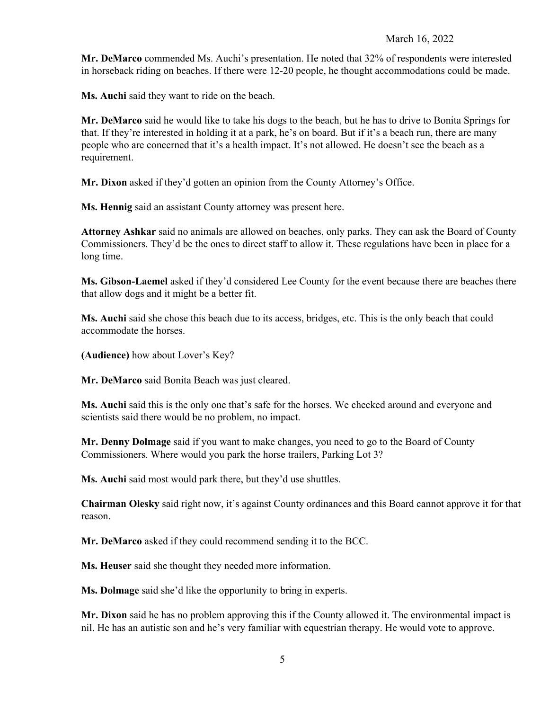**Mr. DeMarco** commended Ms. Auchi's presentation. He noted that 32% of respondents were interested in horseback riding on beaches. If there were 12-20 people, he thought accommodations could be made.

**Ms. Auchi** said they want to ride on the beach.

**Mr. DeMarco** said he would like to take his dogs to the beach, but he has to drive to Bonita Springs for that. If they're interested in holding it at a park, he's on board. But if it's a beach run, there are many people who are concerned that it's a health impact. It's not allowed. He doesn't see the beach as a requirement.

**Mr. Dixon** asked if they'd gotten an opinion from the County Attorney's Office.

**Ms. Hennig** said an assistant County attorney was present here.

**Attorney Ashkar** said no animals are allowed on beaches, only parks. They can ask the Board of County Commissioners. They'd be the ones to direct staff to allow it. These regulations have been in place for a long time.

**Ms. Gibson-Laemel** asked if they'd considered Lee County for the event because there are beaches there that allow dogs and it might be a better fit.

**Ms. Auchi** said she chose this beach due to its access, bridges, etc. This is the only beach that could accommodate the horses.

**(Audience)** how about Lover's Key?

**Mr. DeMarco** said Bonita Beach was just cleared.

**Ms. Auchi** said this is the only one that's safe for the horses. We checked around and everyone and scientists said there would be no problem, no impact.

**Mr. Denny Dolmage** said if you want to make changes, you need to go to the Board of County Commissioners. Where would you park the horse trailers, Parking Lot 3?

**Ms. Auchi** said most would park there, but they'd use shuttles.

**Chairman Olesky** said right now, it's against County ordinances and this Board cannot approve it for that reason.

**Mr. DeMarco** asked if they could recommend sending it to the BCC.

**Ms. Heuser** said she thought they needed more information.

**Ms. Dolmage** said she'd like the opportunity to bring in experts.

**Mr. Dixon** said he has no problem approving this if the County allowed it. The environmental impact is nil. He has an autistic son and he's very familiar with equestrian therapy. He would vote to approve.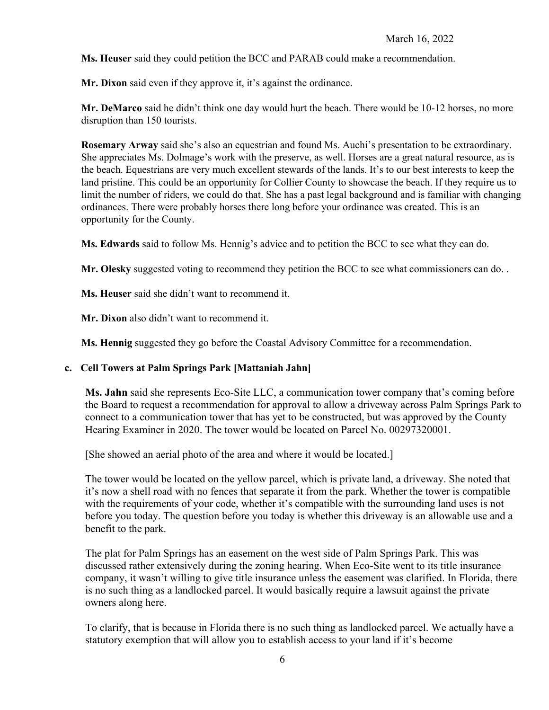**Ms. Heuser** said they could petition the BCC and PARAB could make a recommendation.

**Mr. Dixon** said even if they approve it, it's against the ordinance.

**Mr. DeMarco** said he didn't think one day would hurt the beach. There would be 10-12 horses, no more disruption than 150 tourists.

**Rosemary Arway** said she's also an equestrian and found Ms. Auchi's presentation to be extraordinary. She appreciates Ms. Dolmage's work with the preserve, as well. Horses are a great natural resource, as is the beach. Equestrians are very much excellent stewards of the lands. It's to our best interests to keep the land pristine. This could be an opportunity for Collier County to showcase the beach. If they require us to limit the number of riders, we could do that. She has a past legal background and is familiar with changing ordinances. There were probably horses there long before your ordinance was created. This is an opportunity for the County.

**Ms. Edwards** said to follow Ms. Hennig's advice and to petition the BCC to see what they can do.

**Mr. Olesky** suggested voting to recommend they petition the BCC to see what commissioners can do. .

**Ms. Heuser** said she didn't want to recommend it.

**Mr. Dixon** also didn't want to recommend it.

**Ms. Hennig** suggested they go before the Coastal Advisory Committee for a recommendation.

#### **c. Cell Towers at Palm Springs Park [Mattaniah Jahn]**

**Ms. Jahn** said she represents Eco-Site LLC, a communication tower company that's coming before the Board to request a recommendation for approval to allow a driveway across Palm Springs Park to connect to a communication tower that has yet to be constructed, but was approved by the County Hearing Examiner in 2020. The tower would be located on Parcel No. 00297320001.

[She showed an aerial photo of the area and where it would be located.]

The tower would be located on the yellow parcel, which is private land, a driveway. She noted that it's now a shell road with no fences that separate it from the park. Whether the tower is compatible with the requirements of your code, whether it's compatible with the surrounding land uses is not before you today. The question before you today is whether this driveway is an allowable use and a benefit to the park.

The plat for Palm Springs has an easement on the west side of Palm Springs Park. This was discussed rather extensively during the zoning hearing. When Eco-Site went to its title insurance company, it wasn't willing to give title insurance unless the easement was clarified. In Florida, there is no such thing as a landlocked parcel. It would basically require a lawsuit against the private owners along here.

To clarify, that is because in Florida there is no such thing as landlocked parcel. We actually have a statutory exemption that will allow you to establish access to your land if it's become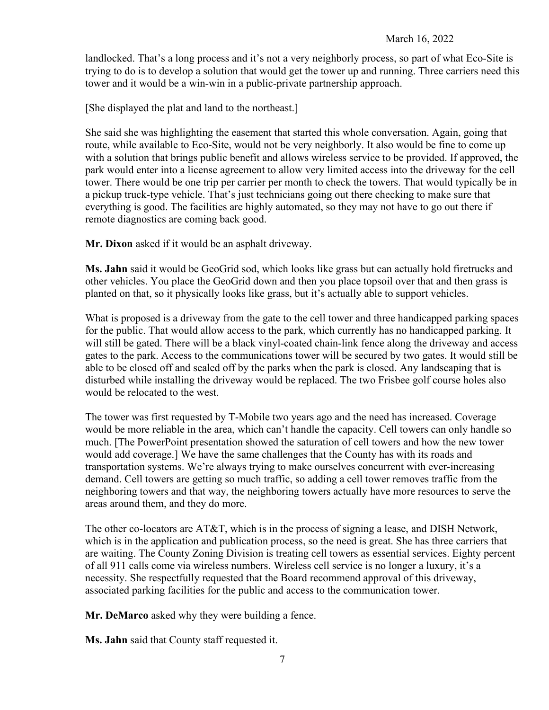landlocked. That's a long process and it's not a very neighborly process, so part of what Eco-Site is trying to do is to develop a solution that would get the tower up and running. Three carriers need this tower and it would be a win-win in a public-private partnership approach.

[She displayed the plat and land to the northeast.]

She said she was highlighting the easement that started this whole conversation. Again, going that route, while available to Eco-Site, would not be very neighborly. It also would be fine to come up with a solution that brings public benefit and allows wireless service to be provided. If approved, the park would enter into a license agreement to allow very limited access into the driveway for the cell tower. There would be one trip per carrier per month to check the towers. That would typically be in a pickup truck-type vehicle. That's just technicians going out there checking to make sure that everything is good. The facilities are highly automated, so they may not have to go out there if remote diagnostics are coming back good.

**Mr. Dixon** asked if it would be an asphalt driveway.

**Ms. Jahn** said it would be GeoGrid sod, which looks like grass but can actually hold firetrucks and other vehicles. You place the GeoGrid down and then you place topsoil over that and then grass is planted on that, so it physically looks like grass, but it's actually able to support vehicles.

What is proposed is a driveway from the gate to the cell tower and three handicapped parking spaces for the public. That would allow access to the park, which currently has no handicapped parking. It will still be gated. There will be a black vinyl-coated chain-link fence along the driveway and access gates to the park. Access to the communications tower will be secured by two gates. It would still be able to be closed off and sealed off by the parks when the park is closed. Any landscaping that is disturbed while installing the driveway would be replaced. The two Frisbee golf course holes also would be relocated to the west.

The tower was first requested by T-Mobile two years ago and the need has increased. Coverage would be more reliable in the area, which can't handle the capacity. Cell towers can only handle so much. [The PowerPoint presentation showed the saturation of cell towers and how the new tower would add coverage.] We have the same challenges that the County has with its roads and transportation systems. We're always trying to make ourselves concurrent with ever-increasing demand. Cell towers are getting so much traffic, so adding a cell tower removes traffic from the neighboring towers and that way, the neighboring towers actually have more resources to serve the areas around them, and they do more.

The other co-locators are AT&T, which is in the process of signing a lease, and DISH Network, which is in the application and publication process, so the need is great. She has three carriers that are waiting. The County Zoning Division is treating cell towers as essential services. Eighty percent of all 911 calls come via wireless numbers. Wireless cell service is no longer a luxury, it's a necessity. She respectfully requested that the Board recommend approval of this driveway, associated parking facilities for the public and access to the communication tower.

**Mr. DeMarco** asked why they were building a fence.

**Ms. Jahn** said that County staff requested it.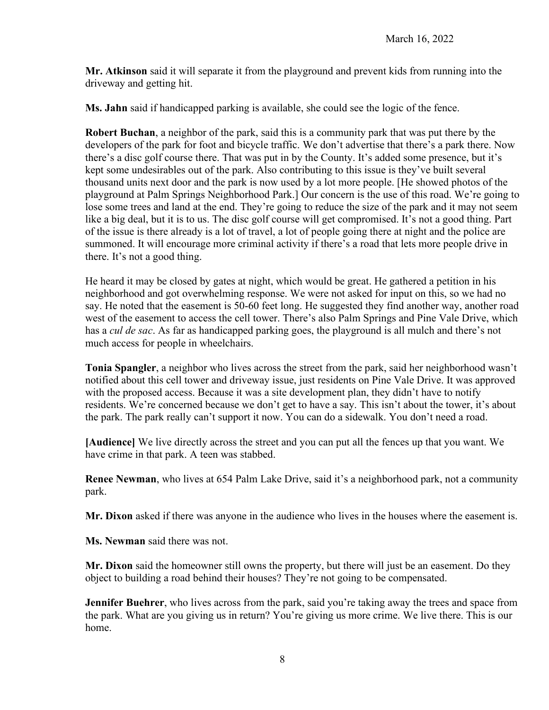**Mr. Atkinson** said it will separate it from the playground and prevent kids from running into the driveway and getting hit.

**Ms. Jahn** said if handicapped parking is available, she could see the logic of the fence.

**Robert Buchan**, a neighbor of the park, said this is a community park that was put there by the developers of the park for foot and bicycle traffic. We don't advertise that there's a park there. Now there's a disc golf course there. That was put in by the County. It's added some presence, but it's kept some undesirables out of the park. Also contributing to this issue is they've built several thousand units next door and the park is now used by a lot more people. [He showed photos of the playground at Palm Springs Neighborhood Park.] Our concern is the use of this road. We're going to lose some trees and land at the end. They're going to reduce the size of the park and it may not seem like a big deal, but it is to us. The disc golf course will get compromised. It's not a good thing. Part of the issue is there already is a lot of travel, a lot of people going there at night and the police are summoned. It will encourage more criminal activity if there's a road that lets more people drive in there. It's not a good thing.

He heard it may be closed by gates at night, which would be great. He gathered a petition in his neighborhood and got overwhelming response. We were not asked for input on this, so we had no say. He noted that the easement is 50-60 feet long. He suggested they find another way, another road west of the easement to access the cell tower. There's also Palm Springs and Pine Vale Drive, which has a *cul de sac*. As far as handicapped parking goes, the playground is all mulch and there's not much access for people in wheelchairs.

**Tonia Spangler**, a neighbor who lives across the street from the park, said her neighborhood wasn't notified about this cell tower and driveway issue, just residents on Pine Vale Drive. It was approved with the proposed access. Because it was a site development plan, they didn't have to notify residents. We're concerned because we don't get to have a say. This isn't about the tower, it's about the park. The park really can't support it now. You can do a sidewalk. You don't need a road.

**[Audience]** We live directly across the street and you can put all the fences up that you want. We have crime in that park. A teen was stabbed.

**Renee Newman**, who lives at 654 Palm Lake Drive, said it's a neighborhood park, not a community park.

**Mr. Dixon** asked if there was anyone in the audience who lives in the houses where the easement is.

**Ms. Newman** said there was not.

**Mr. Dixon** said the homeowner still owns the property, but there will just be an easement. Do they object to building a road behind their houses? They're not going to be compensated.

**Jennifer Buehrer**, who lives across from the park, said you're taking away the trees and space from the park. What are you giving us in return? You're giving us more crime. We live there. This is our home.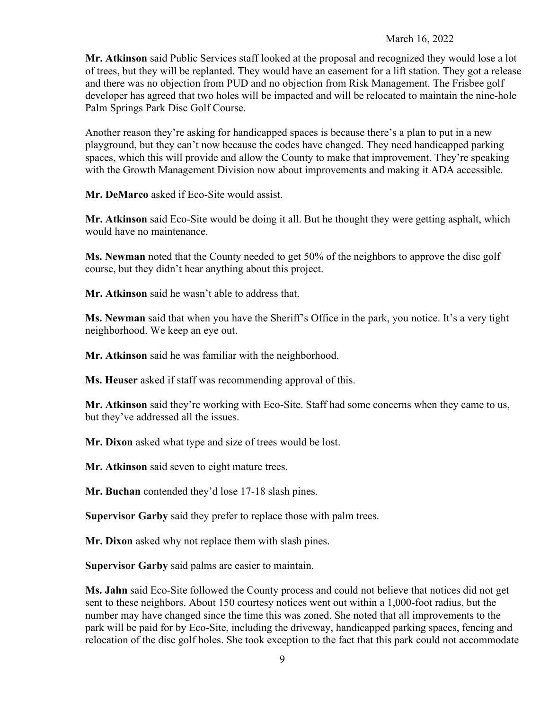**Mr. Atkinson** said Public Services staff looked at the proposal and recognized they would lose a lot of trees, but they will be replanted. They would have an easement for a lift station. They got a release and there was no objection from PUD and no objection from Risk Management. The Frisbee golf developer has agreed that two holes will be impacted and will be relocated to maintain the nine-hole Palm Springs Park Disc Golf Course.

Another reason they're asking for handicapped spaces is because there's a plan to put in a new playground, but they can't now because the codes have changed. They need handicapped parking spaces, which this will provide and allow the County to make that improvement. They're speaking with the Growth Management Division now about improvements and making it ADA accessible.

**Mr. DeMarco** asked if Eco-Site would assist.

**Mr. Atkinson** said Eco-Site would be doing it all. But he thought they were getting asphalt, which would have no maintenance.

**Ms. Newman** noted that the County needed to get 50% of the neighbors to approve the disc golf course, but they didn't hear anything about this project.

**Mr. Atkinson** said he wasn't able to address that.

**Ms. Newman** said that when you have the Sheriff's Office in the park, you notice. It's a very tight neighborhood. We keep an eye out.

**Mr. Atkinson** said he was familiar with the neighborhood.

**Ms. Heuser** asked if staff was recommending approval of this.

**Mr. Atkinson** said they're working with Eco-Site. Staff had some concerns when they came to us, but they've addressed all the issues.

**Mr. Dixon** asked what type and size of trees would be lost.

**Mr. Atkinson** said seven to eight mature trees.

**Mr. Buchan** contended they'd lose 17-18 slash pines.

**Supervisor Garby** said they prefer to replace those with palm trees.

**Mr. Dixon** asked why not replace them with slash pines.

**Supervisor Garby** said palms are easier to maintain.

**Ms. Jahn** said Eco-Site followed the County process and could not believe that notices did not get sent to these neighbors. About 150 courtesy notices went out within a 1,000-foot radius, but the number may have changed since the time this was zoned. She noted that all improvements to the park will be paid for by Eco-Site, including the driveway, handicapped parking spaces, fencing and relocation of the disc golf holes. She took exception to the fact that this park could not accommodate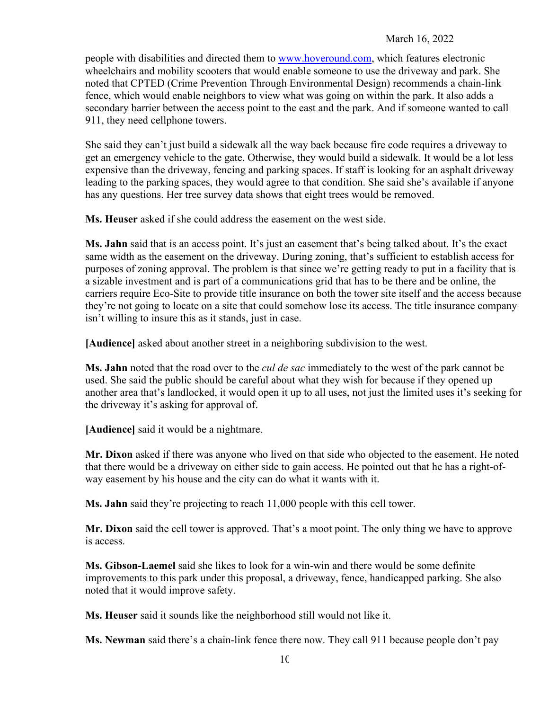people with disabilities and directed them to [www.hoveround.com,](http://www.hoveround.com/) which features electronic wheelchairs and mobility scooters that would enable someone to use the driveway and park. She noted that CPTED (Crime Prevention Through Environmental Design) recommends a chain-link fence, which would enable neighbors to view what was going on within the park. It also adds a secondary barrier between the access point to the east and the park. And if someone wanted to call 911, they need cellphone towers.

She said they can't just build a sidewalk all the way back because fire code requires a driveway to get an emergency vehicle to the gate. Otherwise, they would build a sidewalk. It would be a lot less expensive than the driveway, fencing and parking spaces. If staff is looking for an asphalt driveway leading to the parking spaces, they would agree to that condition. She said she's available if anyone has any questions. Her tree survey data shows that eight trees would be removed.

**Ms. Heuser** asked if she could address the easement on the west side.

**Ms. Jahn** said that is an access point. It's just an easement that's being talked about. It's the exact same width as the easement on the driveway. During zoning, that's sufficient to establish access for purposes of zoning approval. The problem is that since we're getting ready to put in a facility that is a sizable investment and is part of a communications grid that has to be there and be online, the carriers require Eco-Site to provide title insurance on both the tower site itself and the access because they're not going to locate on a site that could somehow lose its access. The title insurance company isn't willing to insure this as it stands, just in case.

**[Audience]** asked about another street in a neighboring subdivision to the west.

**Ms. Jahn** noted that the road over to the *cul de sac* immediately to the west of the park cannot be used. She said the public should be careful about what they wish for because if they opened up another area that's landlocked, it would open it up to all uses, not just the limited uses it's seeking for the driveway it's asking for approval of.

**[Audience]** said it would be a nightmare.

**Mr. Dixon** asked if there was anyone who lived on that side who objected to the easement. He noted that there would be a driveway on either side to gain access. He pointed out that he has a right-ofway easement by his house and the city can do what it wants with it.

**Ms. Jahn** said they're projecting to reach 11,000 people with this cell tower.

**Mr. Dixon** said the cell tower is approved. That's a moot point. The only thing we have to approve is access.

**Ms. Gibson-Laemel** said she likes to look for a win-win and there would be some definite improvements to this park under this proposal, a driveway, fence, handicapped parking. She also noted that it would improve safety.

**Ms. Heuser** said it sounds like the neighborhood still would not like it.

**Ms. Newman** said there's a chain-link fence there now. They call 911 because people don't pay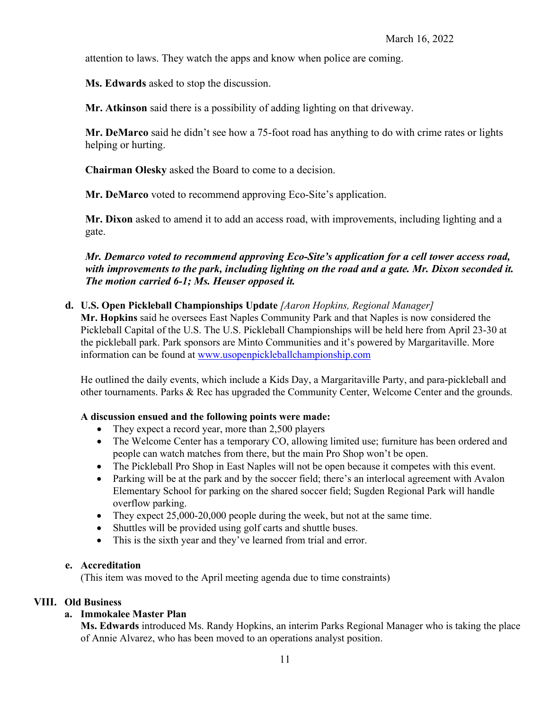attention to laws. They watch the apps and know when police are coming.

**Ms. Edwards** asked to stop the discussion.

**Mr. Atkinson** said there is a possibility of adding lighting on that driveway.

**Mr. DeMarco** said he didn't see how a 75-foot road has anything to do with crime rates or lights helping or hurting.

**Chairman Olesky** asked the Board to come to a decision.

**Mr. DeMarco** voted to recommend approving Eco-Site's application.

**Mr. Dixon** asked to amend it to add an access road, with improvements, including lighting and a gate.

*Mr. Demarco voted to recommend approving Eco-Site's application for a cell tower access road, with improvements to the park, including lighting on the road and a gate. Mr. Dixon seconded it. The motion carried 6-1; Ms. Heuser opposed it.* 

## **d. U.S. Open Pickleball Championships Update** *[Aaron Hopkins, Regional Manager]*

**Mr. Hopkins** said he oversees East Naples Community Park and that Naples is now considered the Pickleball Capital of the U.S. The U.S. Pickleball Championships will be held here from April 23-30 at the pickleball park. Park sponsors are Minto Communities and it's powered by Margaritaville. More information can be found at [www.usopenpickleballchampionship.com](http://www.usopenpickleballchampionship.com/) 

He outlined the daily events, which include a Kids Day, a Margaritaville Party, and para-pickleball and other tournaments. Parks & Rec has upgraded the Community Center, Welcome Center and the grounds.

#### **A discussion ensued and the following points were made:**

- They expect a record year, more than 2,500 players
- The Welcome Center has a temporary CO, allowing limited use; furniture has been ordered and people can watch matches from there, but the main Pro Shop won't be open.
- The Pickleball Pro Shop in East Naples will not be open because it competes with this event.
- Parking will be at the park and by the soccer field; there's an interlocal agreement with Avalon Elementary School for parking on the shared soccer field; Sugden Regional Park will handle overflow parking.
- They expect 25,000-20,000 people during the week, but not at the same time.
- Shuttles will be provided using golf carts and shuttle buses.
- This is the sixth year and they've learned from trial and error.

#### **e. Accreditation**

(This item was moved to the April meeting agenda due to time constraints)

#### **VIII. Old Business**

# **a. Immokalee Master Plan**

**Ms. Edwards** introduced Ms. Randy Hopkins, an interim Parks Regional Manager who is taking the place of Annie Alvarez, who has been moved to an operations analyst position.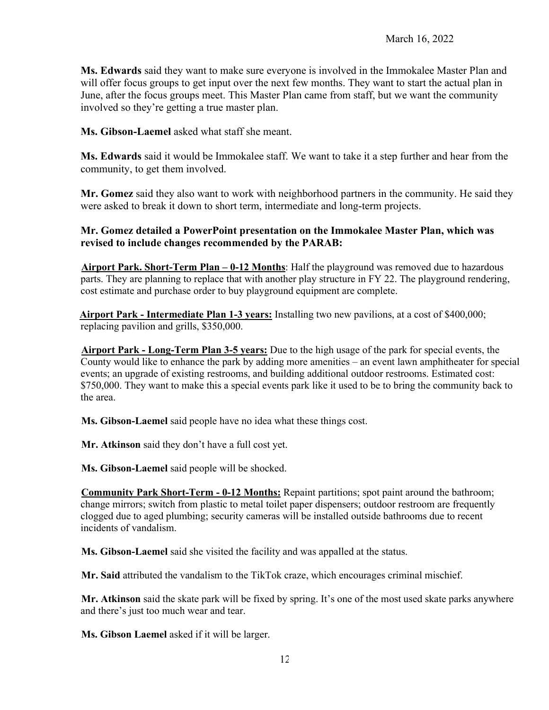**Ms. Edwards** said they want to make sure everyone is involved in the Immokalee Master Plan and will offer focus groups to get input over the next few months. They want to start the actual plan in June, after the focus groups meet. This Master Plan came from staff, but we want the community involved so they're getting a true master plan.

**Ms. Gibson-Laemel** asked what staff she meant.

**Ms. Edwards** said it would be Immokalee staff. We want to take it a step further and hear from the community, to get them involved.

**Mr. Gomez** said they also want to work with neighborhood partners in the community. He said they were asked to break it down to short term, intermediate and long-term projects.

## **Mr. Gomez detailed a PowerPoint presentation on the Immokalee Master Plan, which was revised to include changes recommended by the PARAB:**

**Airport Park. Short-Term Plan – 0-12 Months**: Half the playground was removed due to hazardous parts. They are planning to replace that with another play structure in FY 22. The playground rendering, cost estimate and purchase order to buy playground equipment are complete.

**Airport Park - Intermediate Plan 1-3 years:** Installing two new pavilions, at a cost of \$400,000; replacing pavilion and grills, \$350,000.

**Airport Park - Long-Term Plan 3-5 years:** Due to the high usage of the park for special events, the County would like to enhance the park by adding more amenities – an event lawn amphitheater for special events; an upgrade of existing restrooms, and building additional outdoor restrooms. Estimated cost: \$750,000. They want to make this a special events park like it used to be to bring the community back to the area.

**Ms. Gibson-Laemel** said people have no idea what these things cost.

**Mr. Atkinson** said they don't have a full cost yet.

**Ms. Gibson-Laemel** said people will be shocked.

**Community Park Short-Term - 0-12 Months:** Repaint partitions; spot paint around the bathroom; change mirrors; switch from plastic to metal toilet paper dispensers; outdoor restroom are frequently clogged due to aged plumbing; security cameras will be installed outside bathrooms due to recent incidents of vandalism.

**Ms. Gibson-Laemel** said she visited the facility and was appalled at the status.

**Mr. Said** attributed the vandalism to the TikTok craze, which encourages criminal mischief.

**Mr. Atkinson** said the skate park will be fixed by spring. It's one of the most used skate parks anywhere and there's just too much wear and tear.

**Ms. Gibson Laemel** asked if it will be larger.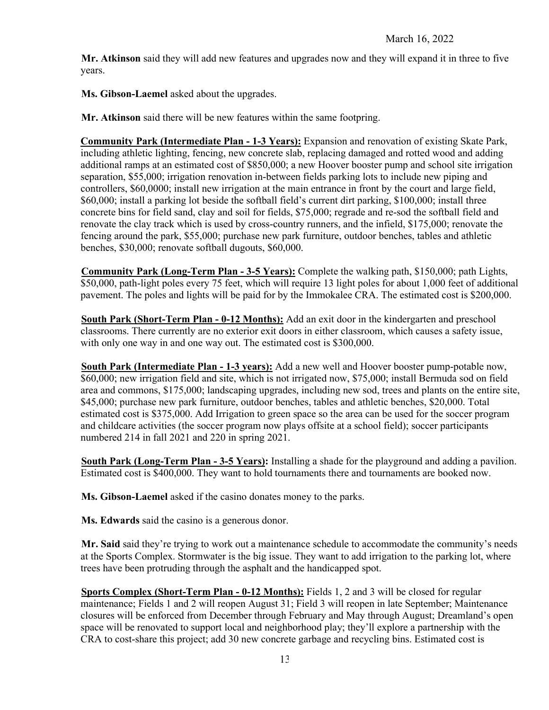**Mr. Atkinson** said they will add new features and upgrades now and they will expand it in three to five years.

**Ms. Gibson-Laemel** asked about the upgrades.

**Mr. Atkinson** said there will be new features within the same footpring.

**Community Park (Intermediate Plan - 1-3 Years):** Expansion and renovation of existing Skate Park, including athletic lighting, fencing, new concrete slab, replacing damaged and rotted wood and adding additional ramps at an estimated cost of \$850,000; a new Hoover booster pump and school site irrigation separation, \$55,000; irrigation renovation in-between fields parking lots to include new piping and controllers, \$60,0000; install new irrigation at the main entrance in front by the court and large field, \$60,000; install a parking lot beside the softball field's current dirt parking, \$100,000; install three concrete bins for field sand, clay and soil for fields, \$75,000; regrade and re-sod the softball field and renovate the clay track which is used by cross-country runners, and the infield, \$175,000; renovate the fencing around the park, \$55,000; purchase new park furniture, outdoor benches, tables and athletic benches, \$30,000; renovate softball dugouts, \$60,000.

**Community Park (Long-Term Plan - 3-5 Years):** Complete the walking path, \$150,000; path Lights, \$50,000, path-light poles every 75 feet, which will require 13 light poles for about 1,000 feet of additional pavement. The poles and lights will be paid for by the Immokalee CRA. The estimated cost is \$200,000.

**South Park (Short-Term Plan - 0-12 Months):** Add an exit door in the kindergarten and preschool classrooms. There currently are no exterior exit doors in either classroom, which causes a safety issue, with only one way in and one way out. The estimated cost is \$300,000.

**South Park (Intermediate Plan - 1-3 years):** Add a new well and Hoover booster pump-potable now, \$60,000; new irrigation field and site, which is not irrigated now, \$75,000; install Bermuda sod on field area and commons, \$175,000; landscaping upgrades, including new sod, trees and plants on the entire site, \$45,000; purchase new park furniture, outdoor benches, tables and athletic benches, \$20,000. Total estimated cost is \$375,000. Add Irrigation to green space so the area can be used for the soccer program and childcare activities (the soccer program now plays offsite at a school field); soccer participants numbered 214 in fall 2021 and 220 in spring 2021.

**South Park (Long-Term Plan - 3-5 Years):** Installing a shade for the playground and adding a pavilion. Estimated cost is \$400,000. They want to hold tournaments there and tournaments are booked now.

**Ms. Gibson-Laemel** asked if the casino donates money to the parks.

**Ms. Edwards** said the casino is a generous donor.

**Mr. Said** said they're trying to work out a maintenance schedule to accommodate the community's needs at the Sports Complex. Stormwater is the big issue. They want to add irrigation to the parking lot, where trees have been protruding through the asphalt and the handicapped spot.

**Sports Complex (Short-Term Plan - 0-12 Months):** Fields 1, 2 and 3 will be closed for regular maintenance; Fields 1 and 2 will reopen August 31; Field 3 will reopen in late September; Maintenance closures will be enforced from December through February and May through August; Dreamland's open space will be renovated to support local and neighborhood play; they'll explore a partnership with the CRA to cost-share this project; add 30 new concrete garbage and recycling bins. Estimated cost is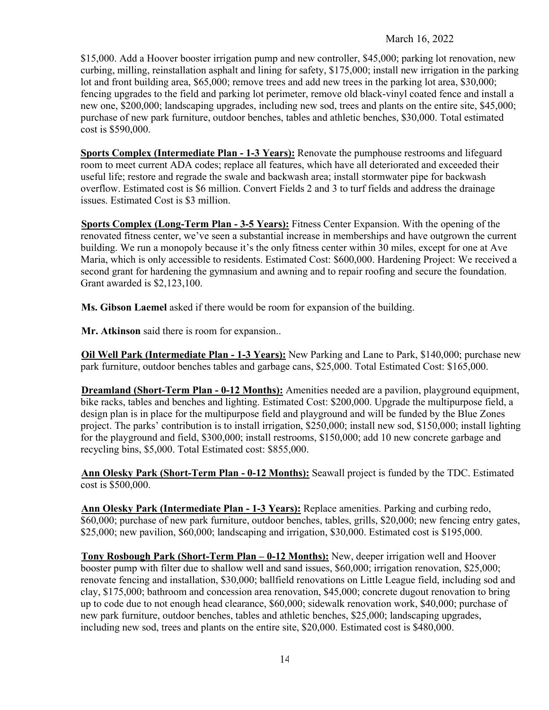\$15,000. Add a Hoover booster irrigation pump and new controller, \$45,000; parking lot renovation, new curbing, milling, reinstallation asphalt and lining for safety, \$175,000; install new irrigation in the parking lot and front building area, \$65,000; remove trees and add new trees in the parking lot area, \$30,000; fencing upgrades to the field and parking lot perimeter, remove old black-vinyl coated fence and install a new one, \$200,000; landscaping upgrades, including new sod, trees and plants on the entire site, \$45,000; purchase of new park furniture, outdoor benches, tables and athletic benches, \$30,000. Total estimated cost is \$590,000.

**Sports Complex (Intermediate Plan - 1-3 Years):** Renovate the pumphouse restrooms and lifeguard room to meet current ADA codes; replace all features, which have all deteriorated and exceeded their useful life; restore and regrade the swale and backwash area; install stormwater pipe for backwash overflow. Estimated cost is \$6 million. Convert Fields 2 and 3 to turf fields and address the drainage issues. Estimated Cost is \$3 million.

**Sports Complex (Long-Term Plan - 3-5 Years):** Fitness Center Expansion. With the opening of the renovated fitness center, we've seen a substantial increase in memberships and have outgrown the current building. We run a monopoly because it's the only fitness center within 30 miles, except for one at Ave Maria, which is only accessible to residents. Estimated Cost: \$600,000. Hardening Project: We received a second grant for hardening the gymnasium and awning and to repair roofing and secure the foundation. Grant awarded is \$2,123,100.

**Ms. Gibson Laemel** asked if there would be room for expansion of the building.

**Mr. Atkinson** said there is room for expansion..

**Oil Well Park (Intermediate Plan - 1-3 Years):** New Parking and Lane to Park, \$140,000; purchase new park furniture, outdoor benches tables and garbage cans, \$25,000. Total Estimated Cost: \$165,000.

**Dreamland (Short-Term Plan - 0-12 Months):** Amenities needed are a pavilion, playground equipment, bike racks, tables and benches and lighting. Estimated Cost: \$200,000. Upgrade the multipurpose field, a design plan is in place for the multipurpose field and playground and will be funded by the Blue Zones project. The parks' contribution is to install irrigation, \$250,000; install new sod, \$150,000; install lighting for the playground and field, \$300,000; install restrooms, \$150,000; add 10 new concrete garbage and recycling bins, \$5,000. Total Estimated cost: \$855,000.

**Ann Olesky Park (Short-Term Plan - 0-12 Months):** Seawall project is funded by the TDC. Estimated cost is \$500,000.

**Ann Olesky Park (Intermediate Plan - 1-3 Years):** Replace amenities. Parking and curbing redo, \$60,000; purchase of new park furniture, outdoor benches, tables, grills, \$20,000; new fencing entry gates, \$25,000; new pavilion, \$60,000; landscaping and irrigation, \$30,000. Estimated cost is \$195,000.

**Tony Rosbough Park (Short-Term Plan – 0-12 Months):** New, deeper irrigation well and Hoover booster pump with filter due to shallow well and sand issues, \$60,000; irrigation renovation, \$25,000; renovate fencing and installation, \$30,000; ballfield renovations on Little League field, including sod and clay, \$175,000; bathroom and concession area renovation, \$45,000; concrete dugout renovation to bring up to code due to not enough head clearance, \$60,000; sidewalk renovation work, \$40,000; purchase of new park furniture, outdoor benches, tables and athletic benches, \$25,000; landscaping upgrades, including new sod, trees and plants on the entire site, \$20,000. Estimated cost is \$480,000.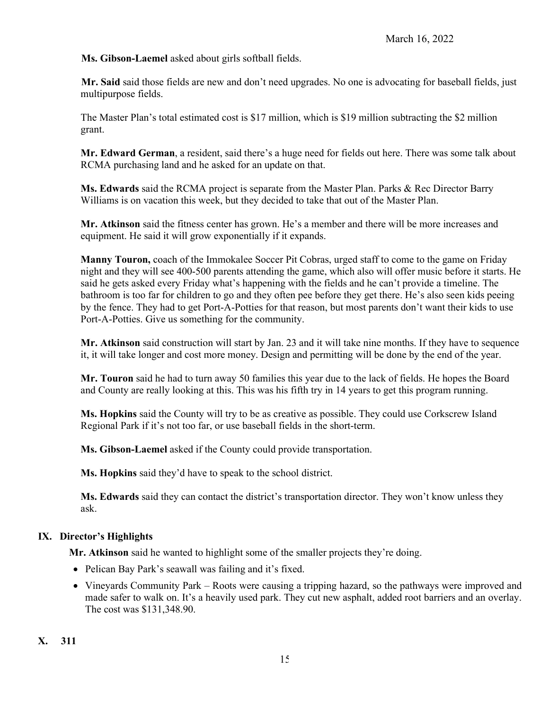**Ms. Gibson-Laemel** asked about girls softball fields.

**Mr. Said** said those fields are new and don't need upgrades. No one is advocating for baseball fields, just multipurpose fields.

The Master Plan's total estimated cost is \$17 million, which is \$19 million subtracting the \$2 million grant.

**Mr. Edward German**, a resident, said there's a huge need for fields out here. There was some talk about RCMA purchasing land and he asked for an update on that.

**Ms. Edwards** said the RCMA project is separate from the Master Plan. Parks & Rec Director Barry Williams is on vacation this week, but they decided to take that out of the Master Plan.

**Mr. Atkinson** said the fitness center has grown. He's a member and there will be more increases and equipment. He said it will grow exponentially if it expands.

**Manny Touron,** coach of the Immokalee Soccer Pit Cobras, urged staff to come to the game on Friday night and they will see 400-500 parents attending the game, which also will offer music before it starts. He said he gets asked every Friday what's happening with the fields and he can't provide a timeline. The bathroom is too far for children to go and they often pee before they get there. He's also seen kids peeing by the fence. They had to get Port-A-Potties for that reason, but most parents don't want their kids to use Port-A-Potties. Give us something for the community.

**Mr. Atkinson** said construction will start by Jan. 23 and it will take nine months. If they have to sequence it, it will take longer and cost more money. Design and permitting will be done by the end of the year.

**Mr. Touron** said he had to turn away 50 families this year due to the lack of fields. He hopes the Board and County are really looking at this. This was his fifth try in 14 years to get this program running.

**Ms. Hopkins** said the County will try to be as creative as possible. They could use Corkscrew Island Regional Park if it's not too far, or use baseball fields in the short-term.

**Ms. Gibson-Laemel** asked if the County could provide transportation.

**Ms. Hopkins** said they'd have to speak to the school district.

**Ms. Edwards** said they can contact the district's transportation director. They won't know unless they ask.

# **IX. Director's Highlights**

**Mr. Atkinson** said he wanted to highlight some of the smaller projects they're doing.

- Pelican Bay Park's seawall was failing and it's fixed.
- Vineyards Community Park Roots were causing a tripping hazard, so the pathways were improved and made safer to walk on. It's a heavily used park. They cut new asphalt, added root barriers and an overlay. The cost was \$131,348.90.

**X. 311**